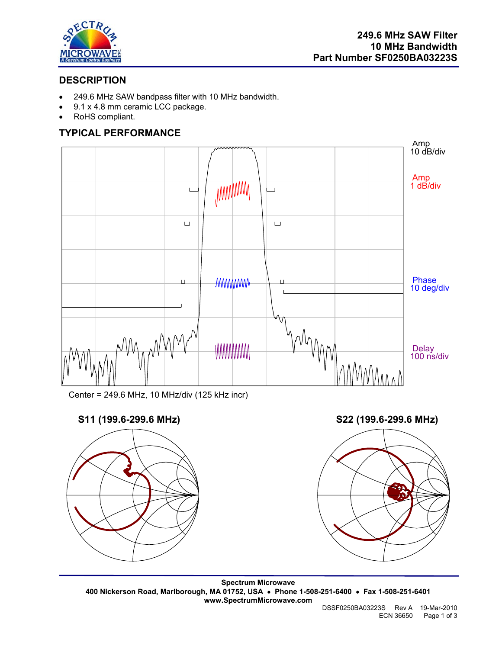

## **DESCRIPTION**

- 249.6 MHz SAW bandpass filter with 10 MHz bandwidth.
- 9.1 x 4.8 mm ceramic LCC package.
- RoHS compliant.

## **TYPICAL PERFORMANCE**



Center = 249.6 MHz, 10 MHz/div (125 kHz incr)

# **S11 (199.6-299.6 MHz) S22 (199.6-299.6 MHz)**





**Spectrum Microwave 400 Nickerson Road, Marlborough, MA 01752, USA** • **Phone 1-508-251-6400** • **Fax 1-508-251-6401 www.SpectrumMicrowave.com** 

 DSSF0250BA03223S Rev A 19-Mar-2010 ECN 36650 Page 1 of 3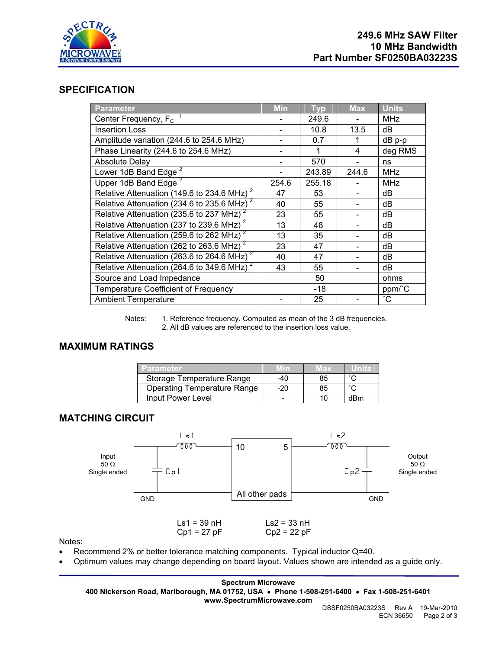

#### **SPECIFICATION**

| <b>Parameter</b>                                                        | <b>Min</b> | <b>Typ</b> | <b>Max</b> | <b>Units</b>    |
|-------------------------------------------------------------------------|------------|------------|------------|-----------------|
| Center Frequency, $F_c$                                                 |            | 249.6      |            | <b>MHz</b>      |
| <b>Insertion Loss</b>                                                   |            | 10.8       | 13.5       | dB              |
| Amplitude variation (244.6 to 254.6 MHz)                                |            | 0.7        | 1          | dB p-p          |
| Phase Linearity (244.6 to 254.6 MHz)                                    |            |            | 4          | deg RMS         |
| <b>Absolute Delay</b>                                                   |            | 570        |            | ns              |
| Lower 1dB Band Edge <sup>2</sup>                                        |            | 243.89     | 244.6      | <b>MHz</b>      |
| Upper 1dB Band Edge <sup>2</sup>                                        | 254.6      | 255.18     |            | <b>MHz</b>      |
| Relative Attenuation (149.6 to 234.6 MHz) <sup>2</sup>                  | 47         | 53         |            | dB              |
| Relative Attenuation ( $\overline{234.6}$ to 235.6 MHz) <sup>2</sup>    | 40         | 55         |            | dB              |
| Relative Attenuation (235.6 to 237 MHz) <sup>2</sup>                    | 23         | 55         |            | dB              |
| Relative Attenuation $\overline{(237 \text{ to } 239.6 \text{ MHz})^2}$ | 13         | 48         |            | dB              |
| Relative Attenuation (259.6 to $262$ MHz) <sup>2</sup>                  | 13         | 35         |            | dB              |
| Relative Attenuation (262 to 263.6 MHz) <sup>2</sup>                    | 23         | 47         |            | dB              |
| Relative Attenuation (263.6 to 264.6 MHz) $^2$                          | 40         | 47         |            | dB              |
| Relative Attenuation (264.6 to 349.6 MHz) <sup>2</sup>                  | 43         | 55         |            | dB              |
| Source and Load Impedance                                               |            | 50         |            | ohms            |
| <b>Temperature Coefficient of Frequency</b>                             |            | -18        |            | ppm/°C          |
| <b>Ambient Temperature</b>                                              |            | 25         |            | $\rm ^{\circ}C$ |

Notes: 1. Reference frequency. Computed as mean of the 3 dB frequencies. 2. All dB values are referenced to the insertion loss value.

### **MAXIMUM RATINGS**

| Parameter                          |     | vax |        |
|------------------------------------|-----|-----|--------|
| Storage Temperature Range          | -40 | 85  | $\sim$ |
| <b>Operating Temperature Range</b> | -20 | 85  |        |
| Input Power Level                  | -   | 10  | dBm    |

#### **MATCHING CIRCUIT**



Notes:

- Recommend 2% or better tolerance matching components. Typical inductor Q=40.
- Optimum values may change depending on board layout. Values shown are intended as a guide only.

**Spectrum Microwave 400 Nickerson Road, Marlborough, MA 01752, USA** • **Phone 1-508-251-6400** • **Fax 1-508-251-6401 www.SpectrumMicrowave.com**